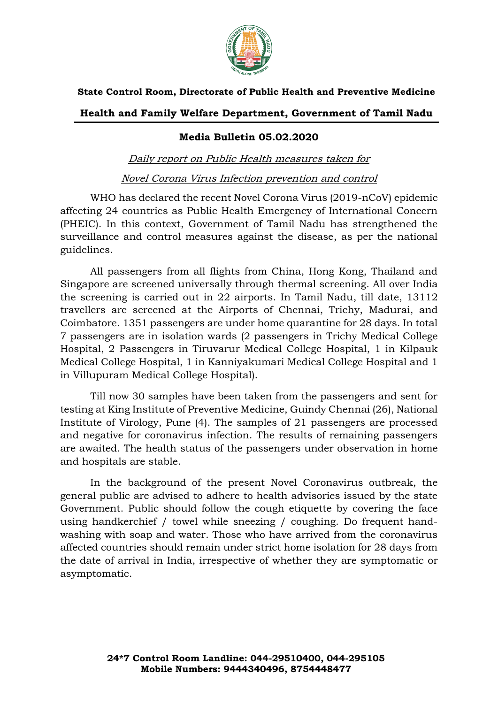

## **State Control Room, Directorate of Public Health and Preventive Medicine**

## **Health and Family Welfare Department, Government of Tamil Nadu**

## **Media Bulletin 05.02.2020**

Daily report on Public Health measures taken for Novel Corona Virus Infection prevention and control

WHO has declared the recent Novel Corona Virus (2019-nCoV) epidemic affecting 24 countries as Public Health Emergency of International Concern (PHEIC). In this context, Government of Tamil Nadu has strengthened the surveillance and control measures against the disease, as per the national guidelines.

All passengers from all flights from China, Hong Kong, Thailand and Singapore are screened universally through thermal screening. All over India the screening is carried out in 22 airports. In Tamil Nadu, till date, 13112 travellers are screened at the Airports of Chennai, Trichy, Madurai, and Coimbatore. 1351 passengers are under home quarantine for 28 days. In total 7 passengers are in isolation wards (2 passengers in Trichy Medical College Hospital, 2 Passengers in Tiruvarur Medical College Hospital, 1 in Kilpauk Medical College Hospital, 1 in Kanniyakumari Medical College Hospital and 1 in Villupuram Medical College Hospital).

Till now 30 samples have been taken from the passengers and sent for testing at King Institute of Preventive Medicine, Guindy Chennai (26), National Institute of Virology, Pune (4). The samples of 21 passengers are processed and negative for coronavirus infection. The results of remaining passengers are awaited. The health status of the passengers under observation in home and hospitals are stable.

In the background of the present Novel Coronavirus outbreak, the general public are advised to adhere to health advisories issued by the state Government. Public should follow the cough etiquette by covering the face using handkerchief / towel while sneezing / coughing. Do frequent handwashing with soap and water. Those who have arrived from the coronavirus affected countries should remain under strict home isolation for 28 days from the date of arrival in India, irrespective of whether they are symptomatic or asymptomatic.